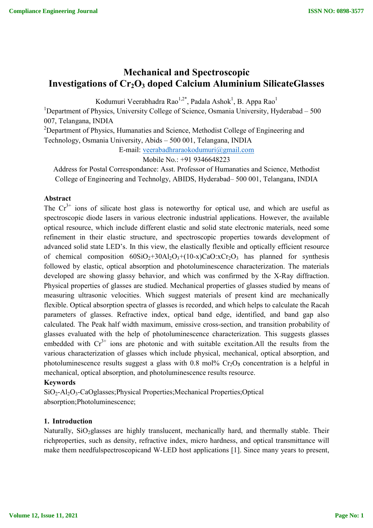# **Mechanical and Spectroscopic Investigations of Cr<sub>2</sub>O<sub>3</sub> doped Calcium Aluminium SilicateGlasses**

Kodumuri Veerabhadra Rao $^{1,2^*}$ , Padala Ashok $^1$ , B. Appa Rao $^1$ 

<sup>1</sup>Department of Physics, University College of Science, Osmania University, Hyderabad - 500 007, Telangana, INDIA

<sup>2</sup>Department of Physics, Humanaties and Science, Methodist College of Engineering and

Technology, Osmania University, Abids – 500 001, Telangana, INDIA

E-mail: veerabadhraraokodumuri@gmail.com

Mobile No.: +91 9346648223

Address for Postal Correspondance: Asst. Professor of Humanaties and Science, Methodist College of Engineering and Technolgy, ABIDS, Hyderabad– 500 001, Telangana, INDIA

## **Abstract**

The  $Cr^{3+}$  ions of silicate host glass is noteworthy for optical use, and which are useful as spectroscopic diode lasers in various electronic industrial applications. However, the available optical resource, which include different elastic and solid state electronic materials, need some refinement in their elastic structure, and spectroscopic properties towards development of advanced solid state LED's. In this view, the elastically flexible and optically efficient resource of chemical composition  $60SiO_2+30Al_2O_3+(10-x)CaO:xCr_2O_3$  has planned for synthesis followed by elastic, optical absorption and photoluminescence characterization. The materials developed are showing glassy behavior, and which was confirmed by the X-Ray diffraction. Physical properties of glasses are studied. Mechanical properties of glasses studied by means of measuring ultrasonic velocities. Which suggest materials of present kind are mechanically flexible. Optical absorption spectra of glasses is recorded, and which helps to calculate the Racah parameters of glasses. Refractive index, optical band edge, identified, and band gap also calculated. The Peak half width maximum, emissive cross-section, and transition probability of glasses evaluated with the help of photoluminescence characterization. This suggests glasses embedded with  $Cr^{3+}$  ions are photonic and with suitable excitation.All the results from the various characterization of glasses which include physical, mechanical, optical absorption, and photoluminescence results suggest a glass with  $0.8 \text{ mol}$ %  $Cr_2O_3$  concentration is a helpful in mechanical, optical absorption, and photoluminescence results resource.

### **Keywords**

SiO2-Al2O3-CaOglasses;Physical Properties;Mechanical Properties;Optical absorption;Photoluminescence;

### **1. Introduction**

Naturally, SiO<sub>2</sub>glasses are highly translucent, mechanically hard, and thermally stable. Their richproperties, such as density, refractive index, micro hardness, and optical transmittance will make them needfulspectroscopicand W-LED host applications [1]. Since many years to present,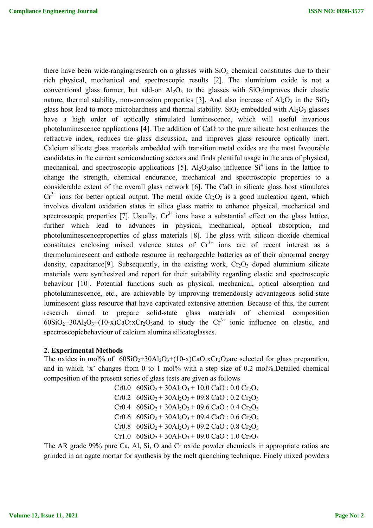there have been wide-rangingresearch on a glasses with  $SiO<sub>2</sub>$  chemical constitutes due to their rich physical, mechanical and spectroscopic results [2]. The aluminium oxide is not a conventional glass former, but add-on  $Al_2O_3$  to the glasses with SiO<sub>2</sub>improves their elastic nature, thermal stability, non-corrosion properties [3]. And also increase of  $Al_2O_3$  in the SiO<sub>2</sub> glass host lead to more microhardness and thermal stability.  $SiO<sub>2</sub>$  embedded with Al<sub>2</sub>O<sub>3</sub> glasses have a high order of optically stimulated luminescence, which will useful invarious photoluminescence applications [4]. The addition of CaO to the pure silicate host enhances the refractive index, reduces the glass discussion, and improves glass resource optically inert. Calcium silicate glass materials embedded with transition metal oxides are the most favourable candidates in the current semiconducting sectors and finds plentiful usage in the area of physical, mechanical, and spectroscopic applications [5]. Al<sub>2</sub>O<sub>3</sub>also influence  $Si<sup>4+</sup> ions$  in the lattice to change the strength, chemical endurance, mechanical and spectroscopic properties to a considerable extent of the overall glass network [6]. The CaO in silicate glass host stimulates  $Cr^{3+}$  ions for better optical output. The metal oxide  $Cr_2O_3$  is a good nucleation agent, which involves divalent oxidation states in silica glass matrix to enhance physical, mechanical and spectroscopic properties [7]. Usually,  $Cr^{3+}$  ions have a substantial effect on the glass lattice, further which lead to advances in physical, mechanical, optical absorption, and photoluminescenceproperties of glass materials [8]. The glass with silicon dioxide chemical constitutes enclosing mixed valence states of  $Cr^{3+}$  ions are of recent interest as a thermoluminescent and cathode resource in rechargeable batteries as of their abnormal energy density, capacitance<sup>[9]</sup>. Subsequently, in the existing work,  $Cr_2O_3$  doped aluminium silicate materials were synthesized and report for their suitability regarding elastic and spectroscopic behaviour [10]. Potential functions such as physical, mechanical, optical absorption and photoluminescence, etc., are achievable by improving tremendously advantageous solid-state luminescent glass resource that have captivated extensive attention. Because of this, the current research aimed to prepare solid-state glass materials of chemical composition  $60SiO<sub>2</sub>+30Al<sub>2</sub>O<sub>3</sub>+(10-x)CaO:xCr<sub>2</sub>O<sub>3</sub> and to study the Cr<sup>3+</sup> ionic influence on elastic, and$ spectroscopicbehaviour of calcium alumina silicateglasses.

### **2. Experimental Methods**

The oxides in mol% of  $60SiO_2+30Al_2O_3+(10-x)CaO:xCr_2O_3$  are selected for glass preparation, and in which 'x' changes from 0 to 1 mol% with a step size of 0.2 mol%.Detailed chemical composition of the present series of glass tests are given as follows

| Cr0.0 $60SiO_2 + 30Al_2O_3 + 10.0 CaO : 0.0 Cr_2O_3$                        |
|-----------------------------------------------------------------------------|
| Cr0.2 $60SiO_2 + 30Al_2O_3 + 09.8 CaO : 0.2 Cr_2O_3$                        |
| Cr0.4 $60SiO_2 + 30Al_2O_3 + 09.6 CaO$ : 0.4 Cr <sub>2</sub> O <sub>3</sub> |
| Cr0.6 $60SiO_2 + 30Al_2O_3 + 09.4 CaO : 0.6 Cr_2O_3$                        |
| Cr0.8 $60SiO_2 + 30Al_2O_3 + 09.2 CaO : 0.8 Cr_2O_3$                        |
| Cr1.0 $60SiO_2 + 30Al_2O_3 + 09.0 CaO$ : 1.0 Cr <sub>2</sub> O <sub>3</sub> |

The AR grade 99% pure Ca, Al, Si, O and Cr oxide powder chemicals in appropriate ratios are grinded in an agate mortar for synthesis by the melt quenching technique. Finely mixed powders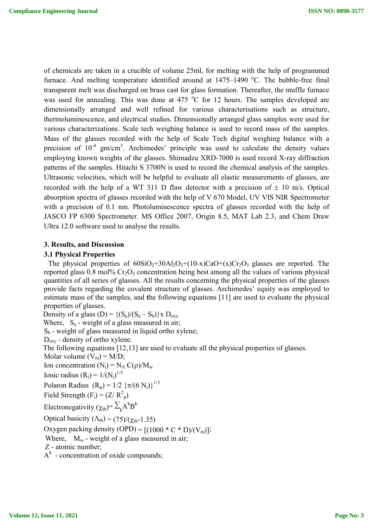of chemicals are taken in a crucible of volume 25ml, for melting with the help of programmed furnace. And melting temperature identified around at  $1475-1490$  °C. The bubble-free final transparent melt was discharged on brass cast for glass formation. Thereafter, the muffle furnace was used for annealing. This was done at 475  $^{\circ}$ C for 12 hours. The samples developed are dimensionally arranged and well refined for various characterisations such as structure, thermoluminescence, and electrical studies. Dimensionally arranged glass samples were used for various characterizations. Scale tech weighing balance is used to record mass of the samples. Mass of the glasses recorded with the help of Scale Tech digital weighing balance with a precision of  $10^{-4}$  gm/cm<sup>3</sup>. Archimedes' principle was used to calculate the density values employing known weights of the glasses. Shimadzu XRD-7000 is used record X-ray diffraction patterns of the samples. Hitachi S 3700N is used to record the chemical analysis of the samples. Ultrasonic velocities, which will be helpful to evaluate all elastic measurements of glasses, are recorded with the help of a WT 311 D flaw detector with a precision of  $\pm$  10 m/s. Optical absorption spectra of glasses recorded with the help of V 670 Model, UV VIS NIR Spectrometer with a precision of 0.1 nm. Photoluminescence spectra of glasses recorded with the help of JASCO FP 6300 Spectrometer. MS Office 2007, Origin 8.5, MAT Lab 2.3, and Chem Draw Ultra 12.0 software used to analyse the results.

### **3. Results, and Discussion**

#### **3.1 Physical Properties**

The physical properties of  $60SiO_2+30Al_2O_3+(10-x)CaO+(x)Cr_2O_3$  glasses are reported. The reported glass  $0.8$  mol% Cr<sub>2</sub>O<sub>3</sub> concentration being best among all the values of various physical quantities of all series of glasses. All the results concerning the physical properties of the glasses provide facts regarding the covalent structure of glasses. Archimedes' equity was employed to estimate mass of the samples, and **t**he following equations [11] are used to evaluate the physical properties of glasses.

Density of a glass  $(D) = \{(S_a)/(S_a - S_b)\}\times D_{oxv}$ Where,  $S_a$  - weight of a glass measured in air;  $S_b$  - weight of glass measured in liquid ortho xylene;  $D_{\text{ox}v}$  - density of ortho xylene. The following equations [12,13] are used to evaluate all the physical properties of glasses. Molar volume  $(V_m) = M/D$ ; Ion concentration  $(N_i) = N_A C(\rho)/M_w$ Ionic radius  $(R_i) = 1/(N_i)^{1/3}$ Polaron Radius  $(R_p) = 1/2 \{ \pi/(6 N_i) \}^{1/3}$ Field Strength  $(F_i) = (Z/R_p^2)$ Electronegativity ( $\chi_{th}$ )=  $\sum_{k} A^{k}B^{k}$ Optical basicity  $(\Lambda_{th}) = (75)/(\chi_{th} - 1.35)$ Oxygen packing density (OPD) =  $[(1000 \cdot C \cdot D)/(V_m)]$ ; Where,  $M_w$  - weight of a glass measured in air; Z - atomic number;  $A<sup>k</sup>$  - concentration of oxide compounds;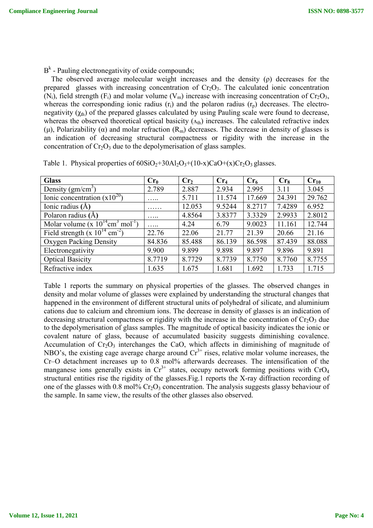$B<sup>k</sup>$  - Pauling electronegativity of oxide compounds;

 The observed average molecular weight increases and the density (ρ) decreases for the prepared glasses with increasing concentration of  $Cr_2O_3$ . The calculated ionic concentration  $(N_i)$ , field strength  $(F_i)$  and molar volume  $(V_m)$  increase with increasing concentration of  $Cr_2O_3$ , whereas the corresponding ionic radius  $(r<sub>i</sub>)$  and the polaron radius  $(r<sub>p</sub>)$  decreases. The electronegativity  $(\chi_{th})$  of the prepared glasses calculated by using Pauling scale were found to decrease, whereas the observed theoretical optical basicity  $(\Lambda_{th})$  increases. The calculated refractive index (μ), Polarizability (α) and molar refraction  $(R_m)$  decreases. The decrease in density of glasses is an indication of decreasing structural compactness or rigidity with the increase in the concentration of  $Cr_2O_3$  due to the depolymerisation of glass samples.

| <b>Glass</b>                                                  | Cr <sub>0</sub> | Cr <sub>2</sub> | Cr <sub>4</sub> | Cr <sub>6</sub> | Cr <sub>8</sub> | $Cr_{10}$ |
|---------------------------------------------------------------|-----------------|-----------------|-----------------|-----------------|-----------------|-----------|
| Density $(gm/cm3)$                                            | 2.789           | 2.887           | 2.934           | 2.995           | 3.11            | 3.045     |
| Ionic concentration $(x10^{20})$                              | .               | 5.711           | 11.574          | 17.669          | 24.391          | 29.762    |
| Ionic radius $(\AA)$                                          | .               | 12.053          | 9.5244          | 8.2717          | 7.4289          | 6.952     |
| Polaron radius $(A)$                                          | $\cdots$        | 4.8564          | 3.8377          | 3.3329          | 2.9933          | 2.8012    |
| Molar volume (x $10^{14}$ cm <sup>3</sup> mol <sup>-1</sup> ) | .               | 4.24            | 6.79            | 9.0023          | 11.161          | 12.744    |
| Field strength (x $10^{14}$ cm <sup>-2</sup> )                | 22.76           | 22.06           | 21.77           | 21.39           | 20.66           | 21.16     |
| Oxygen Packing Density                                        | 84.836          | 85.488          | 86.139          | 86.598          | 87.439          | 88.088    |
| Electronegativity                                             | 9.900           | 9.899           | 9.898           | 9.897           | 9.896           | 9.891     |
| <b>Optical Basicity</b>                                       | 8.7719          | 8.7729          | 8.7739          | 8.7750          | 8.7760          | 8.7755    |
| Refractive index                                              | 1.635           | 1.675           | 1.681           | 1.692           | 1.733           | 1.715     |

Table 1. Physical properties of  $60SiO<sub>2</sub>+30Al<sub>2</sub>O<sub>3</sub>+(10-x)CaO+(x)Cr<sub>2</sub>O<sub>3</sub> glasses.$ 

Table 1 reports the summary on physical properties of the glasses. The observed changes in density and molar volume of glasses were explained by understanding the structural changes that happened in the environment of different structural units of polyhedral of silicate, and aluminium cations due to calcium and chromium ions. The decrease in density of glasses is an indication of decreasing structural compactness or rigidity with the increase in the concentration of  $Cr_2O_3$  due to the depolymerisation of glass samples. The magnitude of optical basicity indicates the ionic or covalent nature of glass, because of accumulated basicity suggests diminishing covalence. Accumulation of  $Cr_2O_3$  interchanges the CaO, which affects in diminishing of magnitude of NBO's, the existing cage average charge around  $Cr<sup>3+</sup>$  rises, relative molar volume increases, the Cr–O detachment increases up to 0.8 mol% afterwards decreases. The intensification of the manganese ions generally exists in  $Cr^{3+}$  states, occupy network forming positions with  $CrO_4$ structural entities rise the rigidity of the glasses.Fig.1 reports the X-ray diffraction recording of one of the glasses with 0.8 mol%  $Cr_2O_3$  concentration. The analysis suggests glassy behaviour of the sample. In same view, the results of the other glasses also observed.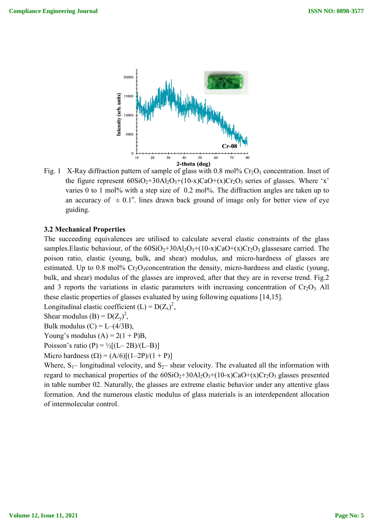

Fig. 1 X-Ray diffraction pattern of sample of glass with 0.8 mol%  $Cr_2O_3$ the figure represent  $60SiO_2+30Al_2O_3+(10-x)CaO+(x)Cr_2O_3$  series of glasses. Where 'x' varies  $0$  to 1 mol% with a step size of  $0.2$  mol%. The diffraction angles are taken up to an accuracy of  $\pm 0.1^{\circ}$ . lines drawn back ground of image only for better view of eye guiding. e diffraction angles are taken up to<br>image only for better view of eye<br>ral elastic constraints of the glass<br> $O+(x)Cr_2O_3$  glassesare carried. The

#### **3.2 Mechanical Properties**

The succeeding equivalences are utilised to calculate several elastic constraints of the glass samples.Elastic behaviour, of the  $60SiO_2+30Al_2O_3+(10-x)CaO+(x)Cr_2O_3$  glasses poison ratio, elastic (young, bulk, and shear) modulus, and micro-hardness of glasses are estimated. Up to 0.8 mol%  $Cr_2O_3$ concentration the density, micro-hardness and elastic (young, poison ratio, elastic (young, bulk, and shear) modulus, and micro-hardness of glasses are estimated. Up to 0.8 mol% Cr<sub>2</sub>O<sub>3</sub>concentration the density, micro-hardness and elastic (young, bulk, and shear) modulus of the gla and 3 reports the variations in elastic parameters with increasing concentration of  $Cr_2O_3$  All these elastic properties of glasses evaluated by using following equations [14,15] [14,15]. Cr<sub>2</sub>O<sub>3</sub> concentration. Inset of<br>series of glasses. Where 'x'<br>action angles are taken up to<br>only for better view of eye<br>stic constraints of the glass<br>stic constraints of the glass<br> $Cr_2O_3$  glassesare carried. The<br>cro-har **EXECUTE:**<br> **EXECUTE:**<br> **EXECUTE:**<br> **EXECUTE:**<br> **EXECUTE:**<br> **EXECUTE:**<br> **EXECUTE:**<br> **EXECUTE:**<br> **EXECUTE:**<br> **EXECUTE:**<br> **EXECUTE:**<br> **EXECUTE:**<br> **EXECUTE:**<br> **EXECUTE:**<br> **EXECUTE:**<br> **EXECUTE:**<br> **EXECUTE:**<br> **EXECUTE:**<br> **EXEC** 

Longitudinal elastic coefficient  $(L) = D(Z_x)^2$ ,

Shear modulus (B) =  $D(Z_y)^2$ ,

Bulk modulus  $(C) = L-(4/3B)$ ,

Young's modulus  $(A) = 2(1 + P)B$ ,

Bulk modulus (C) = L–(4/3B),<br>Young's modulus (A) = 2(1 + P)B,<br>Poisson's ratio (P) = ½[(L– 2B)/(L–B)]

Micro hardness  $(Q) = (A/6)[(1-2P)/(1+P)]$ 

Where,  $S_1$ – longitudinal velocity, and  $S_2$ – shear velocity. The evaluated all the information with Where,  $S_1$ – longitudinal velocity, and  $S_2$ – shear velocity. The evaluated all the information with regard to mechanical properties of the  $60SiO_2+30Al_2O_3+(10-x)CaO+(x)Cr_2O_3$  glasses presented in table number 02. Naturally, the glasses are extreme elastic behavior under any attentive glass formation. And the numerous elastic modulus of glass materials is an interdependent allocation of intermolecular control.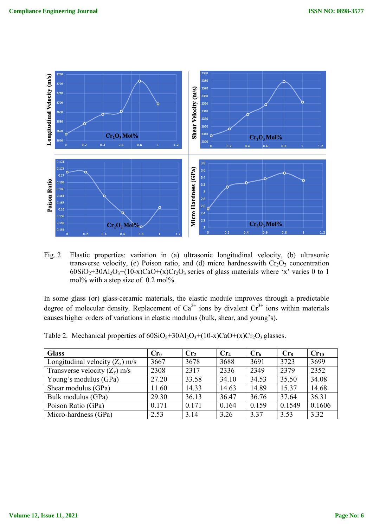

Fig. 2 Elastic properties: variation in (a) ultrasonic longitudinal velocity, (b) ultrasonic transverse velocity, (c) Poison ratio, and (d) micro hardnesswith  $Cr_2O_3$  concentration  $60SiO<sub>2</sub>+30Al<sub>2</sub>O<sub>3</sub>+(10-x)CaO+(x)Cr<sub>2</sub>O<sub>3</sub>$  series of glass materials where 'x' varies 0 to 1 mol% with a step size of 0.2 mol%.

In some glass (or) glass-ceramic materials, the elastic module improves through a predictable In some glass (or) glass-ceramic materials, the elastic module improves through a predictable degree of molecular density. Replacement of  $Ca^{2+}$  ions by divalent  $Cr^{3+}$  ions within materials causes higher orders of variations in elastic modulus (bulk, shear, and young's).

| <b>Glass</b>                      | Cr <sub>0</sub> | Cr <sub>2</sub> | Cr <sub>4</sub> | Cr <sub>6</sub> | Cr <sub>8</sub> | $Cr_{10}$ |
|-----------------------------------|-----------------|-----------------|-----------------|-----------------|-----------------|-----------|
| Longitudinal velocity $(Z_x)$ m/s | 3667            | 3678            | 3688            | 3691            | 3723            | 3699      |
| Transverse velocity $(Z_v)$ m/s   | 2308            | 2317            | 2336            | 2349            | 2379            | 2352      |
| Young's modulus (GPa)             | 27.20           | 33.58           | 34.10           | 34.53           | 35.50           | 34.08     |
| Shear modulus (GPa)               | 11.60           | 14.33           | 14.63           | 14.89           | 15.37           | 14.68     |
| Bulk modulus (GPa)                | 29.30           | 36.13           | 36.47           | 36.76           | 37.64           | 36.31     |
| Poison Ratio (GPa)                | 0.171           | 0.171           | 0.164           | 0.159           | 0.1549          | 0.1606    |
| Micro-hardness (GPa)              | 2.53            | 3.14            | 3.26            | 3.37            | 3.53            | 3.32      |

Table 2. Mechanical properties of  $60SiO_2 + 30Al_2O_3 + (10-x)CaO + (x)Cr_2O_3$  glasses.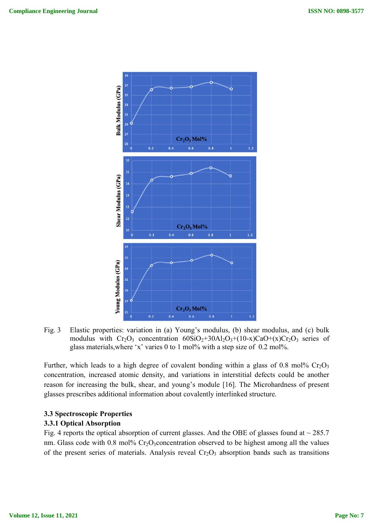

Fig. 3 Elastic properties: variation in (a) Young's modulus, (b) shear modulus, and (c) bulk modulus with  $Cr_2O_3$  concentration  $60SiO_2+30Al_2O_3+(10-x)CaO+(x)Cr_2O_3$  series of glass materials, where 'x' varies  $0$  to 1 mol% with a step size of 0.2 mol%.

Further, which leads to a high degree of covalent bonding within a glass of 0.8 mol%  $Cr_2O_3$ concentration, increased atomic density, and variations in interstitial defects could be another reason for increasing the bulk, shear, and young's module [16]. The Microhardness of present glasses prescribes additional information about covalently interlinked structure. ristitial defects could be another<br>The Microhardness of present<br>aked structure.<br>OBE of glasses found at  $\sim$  285.7

# **3.3 Spectroscopic Properties**

### **3.3.1 Optical Absorption**

Fig. 4 reports the optical absorption of current glasses. And the OBE of glasses found at  $\sim$  285.7 nm. Glass code with  $0.8 \text{ mol}$ %  $Cr_2O_3$ concentration observed to be highest among all the values of the present series of materials. Analysis reveal Cr<sub>2</sub>O<sub>3</sub> absorption bands such as transitions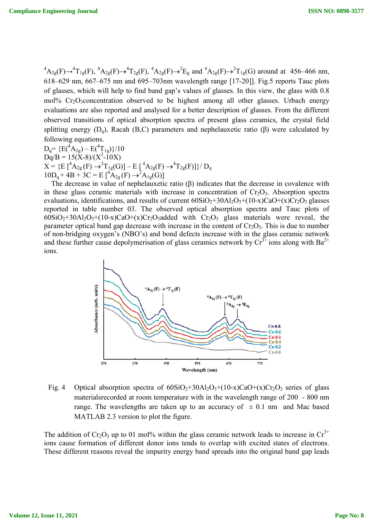${}^{4}A_{2g}(F) \rightarrow {}^{4}T_{1g}(F)$ ,  ${}^{4}A_{2g}(F) \rightarrow {}^{4}T_{2g}(F)$ ,  ${}^{4}A_{2g}(F) \rightarrow {}^{2}F_{g}$  and  ${}^{4}A_{2g}(F) \rightarrow {}^{2}T_{1g}(G)$  around at 456–466 nm, 618–629 nm, 667–675 nm and 695–703nm wavelength range [17-20]]. Fig.5 reports Tauc plots of glasses, which will help to find band gap's values of glasses. In this view, the glass with 0.8 mol%  $Cr_2O_3$ concentration observed to be highest among all other glasses. Urbach energy evaluations are also reported and analysed for a better description of glasses. From the different observed transitions of optical absorption spectra of present glass ceramics, the crystal field splitting energy  $(D_0)$ , Racah  $(B,C)$  parameters and nephelauxetic ratio  $(\beta)$  were calculated by following equations. tra of present glass ceramics, the crystal field<br>and nephelauxetic ratio (β) were calculated by<br>(F)]}/ D<sub>q</sub><br>(β) indicates that the decrease in covalence with<br>in concentration of Cr<sub>2</sub>O<sub>3</sub>. Absorption spectra

 $D_q = {E(^4A_{2g}) - E(^4T_{1g})}/10$  $Dq/B = 15(X-8)/(X^2-10X)$ splitting energy (D<sub>q</sub>), Racah (B,C) parameters and nep<br>
following equations.<br>
D<sub>q</sub>= {E(<sup>4</sup>A<sub>2g</sub>) – E(<sup>4</sup>T<sub>1g</sub>)}/10<br>
Dq/B = 15(X-8)/(X<sup>2</sup>-10X)<br>
X = {E [<sup>4</sup>A<sub>2g</sub>(F)  $\rightarrow$ <sup>2</sup>T<sub>1g</sub>(G)] – E [<sup>4</sup>A<sub>2g</sub>(F)  $\rightarrow$ <sup>4</sup>T<sub>2g</sub>(F)]}/ D<sub>q</sub>  $10D_q + 4B + 3C = E \left[ {}^4A_{2g}(F) \rightarrow {}^2A_{1g}(G) \right]$ 

The decrease in value of nephelauxetic ratio ( $\beta$ ) indicates that the decrease in covalence with in these glass ceramic materials with increase in concentration of  $Cr_2O_3$ . Absorption spectra in these glass ceramic materials with increase in concentration of  $Cr_2O_3$ . Absorption spectra evaluations, identifications, and results of current  $60SiO_2+30Al_2O_3+(10-x)CaO+(x)Cr_2O_3$  glasses reported in table number 03 3. The observed optical absorption spectra and Tauc plots of  $60SiO_2+30Al_2O_3+(10-x)CaO+(x)Cr_2O_3$  added with  $Cr_2O_3$  glass materials were reveal, the parameter optical band gap decrease with increase in the content of  $Cr_2O_3$ . This is due to number of non-bridging oxygen's (NBO's) and bond defects increase with in the glass ceramic network reported in table number 03. The observed optical absorption spectra and Tauc plots of  $60SiO_2+30Al_2O_3+(10-x)CaO+(x)Cr_2O_3$  added with  $Cr_2O_3$  glass materials were reveal, the parameter optical band gap decrease with increa ions.



Fig. 4 Optical absorption spectra of  $60SiO_2 + 30Al_2O_3 + (10-x)CaO + (x)Cr_2O_3$  series of glass materialsrecorded at room temperature with in the wavelength range of 200 - 800 nm range. The wavelengths are taken up to an accuracy of  $\pm$  0.1 nm and Mac based MATLAB 2.3 version to plot the figure. recorded at room temperature with in the wavelength range of 200 - 800 nm<br>he wavelengths are taken up to an accuracy of  $\pm$  0.1 nm and Mac based<br>B 2.3 version to plot the figure.<br>O<sub>3</sub> up to 01 mol% within the glass ceram wavelengths are taken up to an accuracy of  $\pm$  0.1 nm and Mac based<br>3 version to plot the figure.<br>up to 01 mol% within the glass ceramic network leads to increase in  $Cr^{3+}$ 

The addition of  $Cr_2O_3$  up to 01 mol% within the glass ceramic network leads to increase in ions cause formation of different donor ions tends to overlap with excited states of electrons. These different reasons reveal the impurity energy band spreads into the original band gap leads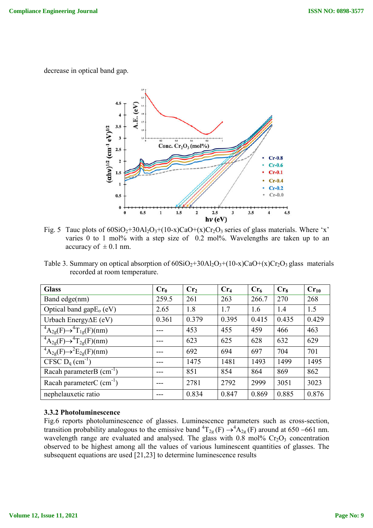decrease in optical band gap.



Fig. 5 Tauc plots of  $60SiO_2+30Al_2O_3+(10-x)CaO+(x)Cr_2O_3$  series of glass materials. Where 'x' varies  $0$  to 1 mol% with a step size of  $0.2$  mol%. Wavelengths are taken up to an accuracy of  $\pm$  0.1 nm. varies 0 to 1 mol% with a step size of 0.2 mol%. Wavelengths are taken up to an accuracy of  $\pm$  0.1 nm.<br>Table 3. Summary on optical absorption of  $60SiO_2+30Al_2O_3+(10-x)CaO+(x)Cr_2O_3$  glass materials

recorded at room temperature.

| <b>Glass</b>                                         | Cr <sub>0</sub> | Cr <sub>2</sub> | Cr <sub>4</sub> | Cr <sub>6</sub> | Cr <sub>8</sub> | $Cr_{10}$ |
|------------------------------------------------------|-----------------|-----------------|-----------------|-----------------|-----------------|-----------|
| Band edge(nm)                                        | 259.5           | 261             | 263             | 266.7           | 270             | 268       |
| Optical band gap $E_0$ (eV)                          | 2.65            | 1.8             | 1.7             | 1.6             | 1.4             | 1.5       |
| Urbach Energy $\Delta E$ (eV)                        | 0.361           | 0.379           | 0.395           | 0.415           | 0.435           | 0.429     |
| ${}^4A_{2g}(F) \rightarrow {}^4T_{1g}(F)(nm)$        | ---             | 453             | 455             | 459             | 466             | 463       |
| $\overline{^4A_{2g}(F)} \rightarrow ^4T_{2g}(F)(nm)$ | ---             | 623             | 625             | 628             | 632             | 629       |
| $\overline{^4A_{2g}(F) \rightarrow ^2E_{2g}(F)(nm)}$ |                 | 692             | 694             | 697             | 704             | 701       |
| CFSC $D_q$ (cm <sup>-1</sup> )                       | ---             | 1475            | 1481            | 1493            | 1499            | 1495      |
| Racah parameter $B$ (cm <sup>-1</sup> )              | ---             | 851             | 854             | 864             | 869             | 862       |
| Racah parameterC $(cm-1)$                            | ---             | 2781            | 2792            | 2999            | 3051            | 3023      |
| nephelauxetic ratio                                  |                 | 0.834           | 0.847           | 0.869           | 0.885           | 0.876     |

### **3.3.2 Photoluminescence**

Fig.6 reports photoluminescence of glasses. Luminescence parameters such as cross-section, transition probability analogous to the emissive band  ${}^{4}T_{2g}(F) \rightarrow {}^{4}A_{2g}(F)$  around at 650 –661 nm. wavelength range are evaluated and analysed. The glass with  $0.8 \text{ mol\% Cr}_2\text{O}_3$  concentration observed to be highest among all the values of various luminescent quantities of glasses. The subsequent equations are used [21,23] to determine luminescence results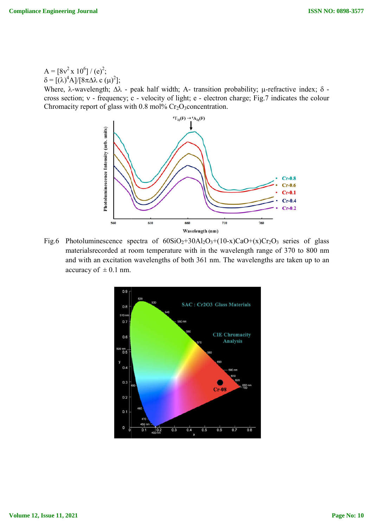$A = [8v^2 \times 10^6]/(e)^2;$  $\delta = [(\lambda)^4 A]/[8\pi\Delta\lambda \ c(\mu)^2];$ 

Where,  $\lambda$ -wavelength;  $\Delta\lambda$  - peak half width; A- transition probability;  $\mu$ cross section; v - frequency; c - velocity of light; e - electron charge; Fig.7 indicates the colour Chromacity report of glass with  $0.8 \text{ mol}$ % Cr<sub>2</sub>O<sub>3</sub>concentration.



Fig.6 Photoluminescence spectra of  $60SiO_2+30Al_2O_3+(10-x)CaO+(x)Cr_2O_3$  series of glass materialsrecorded at room temperature with in the wavelength range of 370 to 800 nm and with an excitation wavelengths of both 361 nm. The wavelengths are taken up to an accuracy of  $\pm 0.1$  nm.

![](_page_9_Figure_6.jpeg)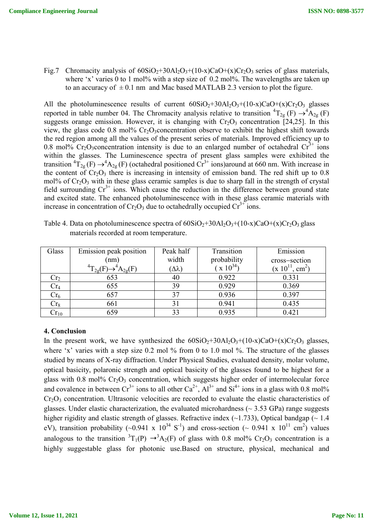Fig.7 Chromacity analysis of  $60SiO_2+30Al_2O_3+(10-x)CaO+(x)Cr_2O_3$  series of glass materials, where 'x' varies 0 to 1 mol% with a step size of  $0.2$  mol%. The wavelengths are taken up to an accuracy of  $\pm 0.1$  nm and Mac based MATLAB 2.3 version to plot the figure.

All the photoluminescence results of current  $60SiO<sub>2</sub>+30Al<sub>2</sub>O<sub>3</sub>+(10-x)CaO+(x)Cr<sub>2</sub>O<sub>3</sub>$  glasses reported in table number 04. The Chromacity analysis relative to transition  ${}^{4}T_{2g}$  (F)  $\rightarrow {}^{4}A_{2g}$  (F) suggests orange emission. However, it is changing with  $Cr_2O_3$  concentration [24,25]. In this view, the glass code 0.8 mol%  $Cr_2O_3$ concentration observe to exhibit the highest shift towards the red region among all the values of the present series of materials. Improved efficiency up to 0.8 mol% Cr<sub>2</sub>O<sub>3</sub>concentration intensity is due to an enlarged number of octahedral  $Cr<sup>3+</sup>$  ions within the glasses. The Luminescence spectra of present glass samples were exhibited the transition  ${}^{4}T_{2g}(F) \rightarrow {}^{4}A_{2g}(F)$  (octahedral positioned Cr<sup>3+</sup> ions)around at 660 nm. With increase in the content of  $Cr_2O_3$  there is increasing in intensity of emission band. The red shift up to 0.8 mol% of  $Cr_2O_3$  with in these glass ceramic samples is due to sharp fall in the strength of crystal field surrounding  $Cr^{3+}$  ions. Which cause the reduction in the difference between ground state and excited state. The enhanced photoluminescence with in these glass ceramic materials with increase in concentration of  $Cr_2O_3$  due to octahedrally occupied  $Cr^{3+}$  ions.

| Glass           | Emission peak position | Peak half          | Transition                   | Emission            |
|-----------------|------------------------|--------------------|------------------------------|---------------------|
|                 | (nm)                   | width              | probability<br>$(x 10^{34})$ | cross-section       |
|                 | $T_{2\alpha}$ .        | $(\Delta \lambda)$ |                              | $(x 10^{11}, cm^2)$ |
| Cr <sub>2</sub> | 653                    | 40                 | 0.922                        | 0.331               |
| Cr <sub>4</sub> | 655                    | 39                 | 0.929                        | 0.369               |
| Cr <sub>6</sub> | 657                    | 37                 | 0.936                        | 0.397               |
| $Cr_8$          | 661                    |                    | 0.941                        | 0.435               |
| $\rm Cr_{10}$   | 659                    | 33                 | 0.935                        | 0.421               |

Table 4. Data on photoluminescence spectra of  $60SiO_2 + 30Al_2O_3 + (10-x)CaO + (x)Cr_2O_3$  glass materials recorded at room temperature.

# **4. Conclusion**

In the present work, we have synthesized the  $60SiO<sub>2</sub>+30Al<sub>2</sub>O<sub>3</sub>+(10-x)CaO+(x)Cr<sub>2</sub>O<sub>3</sub> glasses,$ where 'x' varies with a step size 0.2 mol % from 0 to 1.0 mol %. The structure of the glasses studied by means of X-ray diffraction. Under Physical Studies, evaluated density, molar volume, optical basicity, polaronic strength and optical basicity of the glasses found to be highest for a glass with 0.8 mol%  $Cr_2O_3$  concentration, which suggests higher order of intermolecular force and covalence in between  $Cr^{3+}$  ions to all other  $Ca^{2+}$ ,  $Al^{3+}$  and  $Si^{4+}$  ions in a glass with 0.8 mol% Cr<sub>2</sub>O<sub>3</sub> concentration. Ultrasonic velocities are recorded to evaluate the elastic characteristics of glasses. Under elastic characterization, the evaluated microhardness ( $\sim$  3.53 GPa) range suggests higher rigidity and elastic strength of glasses. Refractive index  $(\sim 1.733)$ , Optical bandgap ( $\sim 1.4$ ) eV), transition probability (~0.941 x  $10^{34}$  S<sup>-1</sup>) and cross-section (~ 0.941 x  $10^{11}$  cm<sup>2</sup>) values analogous to the transition  ${}^{3}T_{1}(P) \rightarrow {}^{3}A_{2}(F)$  of glass with 0.8 mol% Cr<sub>2</sub>O<sub>3</sub> concentration is a highly suggestable glass for photonic use.Based on structure, physical, mechanical and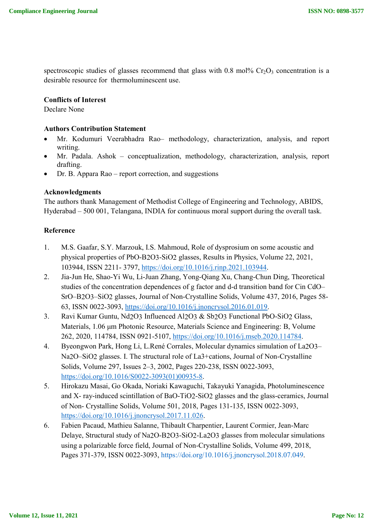spectroscopic studies of glasses recommend that glass with 0.8 mol%  $Cr_2O_3$  concentration is a desirable resource for thermoluminescent use.

### **Conflicts of Interest**

Declare None

### **Authors Contribution Statement**

- Mr. Kodumuri Veerabhadra Rao– methodology, characterization, analysis, and report writing.
- Mr. Padala. Ashok conceptualization, methodology, characterization, analysis, report drafting.
- Dr. B. Appara Rao report correction, and suggestions

### **Acknowledgments**

The authors thank Management of Methodist College of Engineering and Technology, ABIDS, Hyderabad – 500 001, Telangana, INDIA for continuous moral support during the overall task.

#### **Reference**

- 1. M.S. Gaafar, S.Y. Marzouk, I.S. Mahmoud, Role of dysprosium on some acoustic and physical properties of PbO-B2O3-SiO2 glasses, Results in Physics, Volume 22, 2021, 103944, ISSN 2211- 3797, https://doi.org/10.1016/j.rinp.2021.103944.
- 2. Jia-Jun He, Shao-Yi Wu, Li-Juan Zhang, Yong-Qiang Xu, Chang-Chun Ding, Theoretical studies of the concentration dependences of g factor and d-d transition band for Cin CdO– SrO–B2O3–SiO2 glasses, Journal of Non-Crystalline Solids, Volume 437, 2016, Pages 58- 63, ISSN 0022-3093, https://doi.org/10.1016/j.jnoncrysol.2016.01.019.
- 3. Ravi Kumar Guntu, Nd2O3 Influenced Al2O3 & Sb2O3 Functional PbO-SiO2 Glass, Materials, 1.06 μm Photonic Resource, Materials Science and Engineering: B, Volume 262, 2020, 114784, ISSN 0921-5107, https://doi.org/10.1016/j.mseb.2020.114784.
- 4. Byeongwon Park, Hong Li, L.René Corrales, Molecular dynamics simulation of La2O3– Na2O–SiO2 glasses. I. The structural role of La3+cations, Journal of Non-Crystalline Solids, Volume 297, Issues 2–3, 2002, Pages 220-238, ISSN 0022-3093, https://doi.org/10.1016/S0022-3093(01)00935-8.
- 5. Hirokazu Masai, Go Okada, Noriaki Kawaguchi, Takayuki Yanagida, Photoluminescence and X- ray-induced scintillation of BaO-TiO2-SiO2 glasses and the glass-ceramics, Journal of Non- Crystalline Solids, Volume 501, 2018, Pages 131-135, ISSN 0022-3093, https://doi.org/10.1016/j.jnoncrysol.2017.11.026.
- 6. Fabien Pacaud, Mathieu Salanne, Thibault Charpentier, Laurent Cormier, Jean-Marc Delaye, Structural study of Na2O-B2O3-SiO2-La2O3 glasses from molecular simulations using a polarizable force field, Journal of Non-Crystalline Solids, Volume 499, 2018, Pages 371-379, ISSN 0022-3093, https://doi.org/10.1016/j.jnoncrysol.2018.07.049.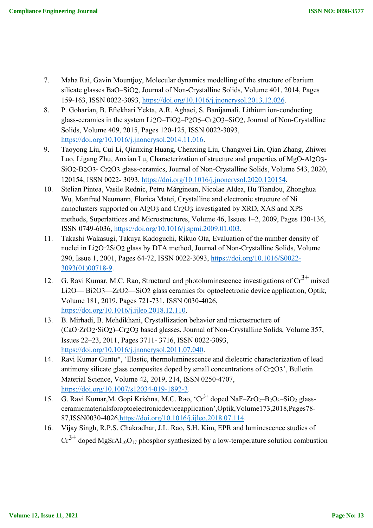- 7. Maha Rai, Gavin Mountjoy, Molecular dynamics modelling of the structure of barium silicate glasses BaO–SiO2, Journal of Non-Crystalline Solids, Volume 401, 2014, Pages 159-163, ISSN 0022-3093, https://doi.org/10.1016/j.jnoncrysol.2013.12.026.
- 8. P. Goharian, B. Eftekhari Yekta, A.R. Aghaei, S. Banijamali, Lithium ion-conducting glass-ceramics in the system Li2O–TiO2–P2O5–Cr2O3–SiO2, Journal of Non-Crystalline Solids, Volume 409, 2015, Pages 120-125, ISSN 0022-3093, https://doi.org/10.1016/j.jnoncrysol.2014.11.016.
- 9. Taoyong Liu, Cui Li, Qianxing Huang, Chenxing Liu, Changwei Lin, Qian Zhang, Zhiwei Luo, Ligang Zhu, Anxian Lu, Characterization of structure and properties of MgO-Al2O3- SiO2-B2O3- Cr2O3 glass-ceramics, Journal of Non-Crystalline Solids, Volume 543, 2020, 120154, ISSN 0022- 3093, https://doi.org/10.1016/j.jnoncrysol.2020.120154.
- 10. Stelian Pintea, Vasile Rednic, Petru Mărginean, Nicolae Aldea, Hu Tiandou, Zhonghua Wu, Manfred Neumann, Florica Matei, Crystalline and electronic structure of Ni nanoclusters supported on Al2O3 and Cr2O3 investigated by XRD, XAS and XPS methods, Superlattices and Microstructures, Volume 46, Issues 1–2, 2009, Pages 130-136, ISSN 0749-6036, https://doi.org/10.1016/j.spmi.2009.01.003.
- 11. Takashi Wakasugi, Takuya Kadoguchi, Rikuo Ota, Evaluation of the number density of nuclei in Li2O·2SiO2 glass by DTA method, Journal of Non-Crystalline Solids, Volume 290, Issue 1, 2001, Pages 64-72, ISSN 0022-3093, https://doi.org/10.1016/S0022- 3093(01)00718-9.
- 12. G. Ravi Kumar, M.C. Rao, Structural and photoluminescence investigations of  $\text{Cr}^{3+}$  mixed Li2O— Bi2O3—ZrO2—SiO2 glass ceramics for optoelectronic device application, Optik, Volume 181, 2019, Pages 721-731, ISSN 0030-4026, https://doi.org/10.1016/j.ijleo.2018.12.110.
- 13. B. Mirhadi, B. Mehdikhani, Crystallization behavior and microstructure of (CaO·ZrO2·SiO2)–Cr2O3 based glasses, Journal of Non-Crystalline Solids, Volume 357, Issues 22–23, 2011, Pages 3711- 3716, ISSN 0022-3093, https://doi.org/10.1016/j.jnoncrysol.2011.07.040.
- 14. Ravi Kumar Guntu\*, 'Elastic, thermoluminescence and dielectric characterization of lead antimony silicate glass composites doped by small concentrations of Cr2O3', Bulletin Material Science, Volume 42, 2019, 214, ISSN 0250-4707, https://doi.org/10.1007/s12034-019-1892-3.
- 15. G. Ravi Kumar, M. Gopi Krishna, M.C. Rao, 'Cr<sup>3+</sup> doped NaF-ZrO<sub>2</sub>-B<sub>2</sub>O<sub>3</sub>-SiO<sub>2</sub> glassceramicmaterialsforoptoelectronicdeviceapplication',Optik,Volume173,2018,Pages78- 87,ISSN0030-4026,https://doi.org/10.1016/j.ijleo.2018.07.114.
- 16. Vijay Singh, R.P.S. Chakradhar, J.L. Rao, S.H. Kim, EPR and luminescence studies of  $Cr^{3+}$  doped MgSrAl<sub>10</sub>O<sub>17</sub> phosphor synthesized by a low-temperature solution combustion